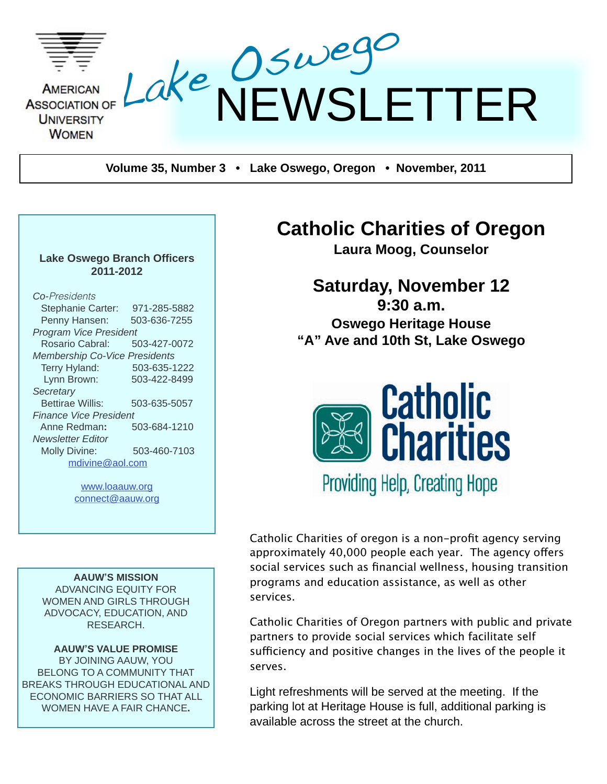

**Volume 35, Number 3 • Lake Oswego, Oregon • November, 2011**

#### **Lake Oswego Branch Officers 2011-2012**

| <b>Co-</b> Presidents                |              |  |  |  |  |  |
|--------------------------------------|--------------|--|--|--|--|--|
| <b>Stephanie Carter:</b>             | 971-285-5882 |  |  |  |  |  |
| Penny Hansen:                        | 503-636-7255 |  |  |  |  |  |
| Program Vice President               |              |  |  |  |  |  |
| Rosario Cabral:                      | 503-427-0072 |  |  |  |  |  |
| <b>Membership Co-Vice Presidents</b> |              |  |  |  |  |  |
| Terry Hyland:                        | 503-635-1222 |  |  |  |  |  |
| Lynn Brown:                          | 503-422-8499 |  |  |  |  |  |
| Secretary                            |              |  |  |  |  |  |
| <b>Bettirae Willis:</b>              | 503-635-5057 |  |  |  |  |  |
| <b>Finance Vice President</b>        |              |  |  |  |  |  |
| Anne Redman:                         | 503-684-1210 |  |  |  |  |  |
| Newsletter Editor                    |              |  |  |  |  |  |
| <b>Molly Divine:</b>                 | 503-460-7103 |  |  |  |  |  |
| mdivine@aol.com                      |              |  |  |  |  |  |
|                                      |              |  |  |  |  |  |

[www.loaauw.org](http://www.loaauw.org) [connect@aauw.org](mailto:connect@aauw.org)

**AAUW'S MISSION** ADVANCING EQUITY FOR WOMEN AND GIRLS THROUGH ADVOCACY, EDUCATION, AND RESEARCH.

#### **AAUW'S VALUE PROMISE**

BY JOINING AAUW, YOU BELONG TO A COMMUNITY THAT BREAKS THROUGH EDUCATIONAL AND ECONOMIC BARRIERS SO THAT ALL WOMEN HAVE A FAIR CHANCE**.**

## **Catholic Charities of Oregon**

**Laura Moog, Counselor**

## **Saturday, November 12 9:30 a.m. Oswego Heritage House "A" Ave and 10th St, Lake Oswego**



Catholic Charities of oregon is a non-profit agency serving approximately 40,000 people each year. The agency offers social services such as financial wellness, housing transition programs and education assistance, as well as other services.

Catholic Charities of Oregon partners with public and private partners to provide social services which facilitate self sufficiency and positive changes in the lives of the people it serves.

Light refreshments will be served at the meeting. If the parking lot at Heritage House is full, additional parking is available across the street at the church.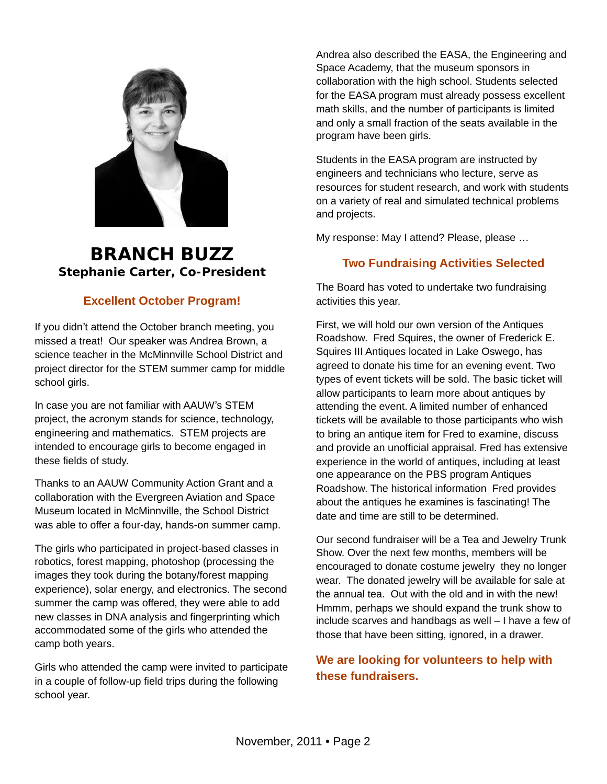

**BRANCH BUZZ Stephanie Carter, Co-President**

#### **Excellent October Program!**

If you didn't attend the October branch meeting, you missed a treat! Our speaker was Andrea Brown, a science teacher in the McMinnville School District and project director for the STEM summer camp for middle school girls.

In case you are not familiar with AAUW's STEM project, the acronym stands for science, technology, engineering and mathematics. STEM projects are intended to encourage girls to become engaged in these fields of study.

Thanks to an AAUW Community Action Grant and a collaboration with the Evergreen Aviation and Space Museum located in McMinnville, the School District was able to offer a four-day, hands-on summer camp.

The girls who participated in project-based classes in robotics, forest mapping, photoshop (processing the images they took during the botany/forest mapping experience), solar energy, and electronics. The second summer the camp was offered, they were able to add new classes in DNA analysis and fingerprinting which accommodated some of the girls who attended the camp both years.

Girls who attended the camp were invited to participate in a couple of follow-up field trips during the following school year.

Andrea also described the EASA, the Engineering and Space Academy, that the museum sponsors in collaboration with the high school. Students selected for the EASA program must already possess excellent math skills, and the number of participants is limited and only a small fraction of the seats available in the program have been girls.

Students in the EASA program are instructed by engineers and technicians who lecture, serve as resources for student research, and work with students on a variety of real and simulated technical problems and projects.

My response: May I attend? Please, please …

#### **Two Fundraising Activities Selected**

The Board has voted to undertake two fundraising activities this year.

First, we will hold our own version of the Antiques Roadshow. Fred Squires, the owner of Frederick E. Squires III Antiques located in Lake Oswego, has agreed to donate his time for an evening event. Two types of event tickets will be sold. The basic ticket will allow participants to learn more about antiques by attending the event. A limited number of enhanced tickets will be available to those participants who wish to bring an antique item for Fred to examine, discuss and provide an unofficial appraisal. Fred has extensive experience in the world of antiques, including at least one appearance on the PBS program Antiques Roadshow. The historical information Fred provides about the antiques he examines is fascinating! The date and time are still to be determined.

Our second fundraiser will be a Tea and Jewelry Trunk Show. Over the next few months, members will be encouraged to donate costume jewelry they no longer wear. The donated jewelry will be available for sale at the annual tea. Out with the old and in with the new! Hmmm, perhaps we should expand the trunk show to include scarves and handbags as well – I have a few of those that have been sitting, ignored, in a drawer.

#### **We are looking for volunteers to help with these fundraisers.**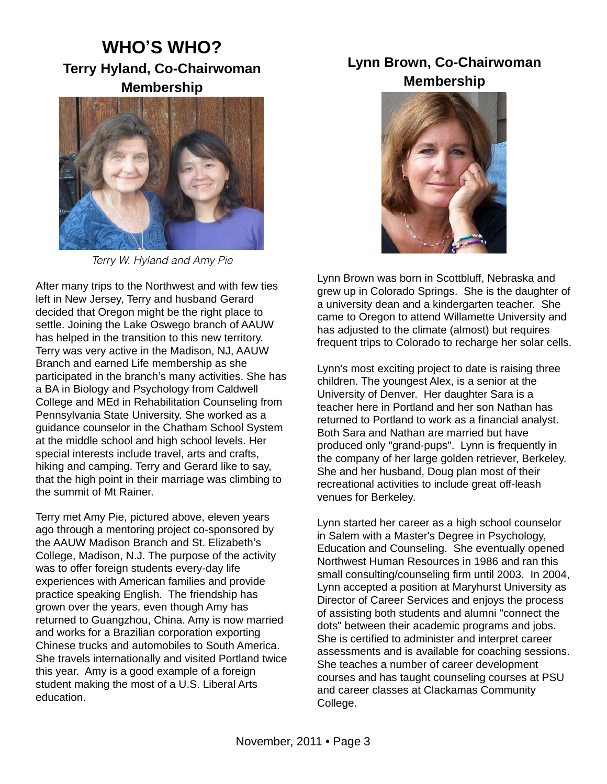## **WHO'S WHO? Terry Hyland, Co-Chairwoman Membership**



*Terry W. Hyland and Amy Pie*

After many trips to the Northwest and with few ties left in New Jersey, Terry and husband Gerard decided that Oregon might be the right place to settle. Joining the Lake Oswego branch of AAUW has helped in the transition to this new territory. Terry was very active in the Madison, NJ, AAUW Branch and earned Life membership as she participated in the branch's many activities. She has a BA in Biology and Psychology from Caldwell College and MEd in Rehabilitation Counseling from Pennsylvania State University. She worked as a guidance counselor in the Chatham School System at the middle school and high school levels. Her special interests include travel, arts and crafts, hiking and camping. Terry and Gerard like to say, that the high point in their marriage was climbing to the summit of Mt Rainer.

Terry met Amy Pie, pictured above, eleven years ago through a mentoring project co-sponsored by the AAUW Madison Branch and St. Elizabeth's College, Madison, N.J. The purpose of the activity was to offer foreign students every-day life experiences with American families and provide practice speaking English. The friendship has grown over the years, even though Amy has returned to Guangzhou, China. Amy is now married and works for a Brazilian corporation exporting Chinese trucks and automobiles to South America. She travels internationally and visited Portland twice this year. Amy is a good example of a foreign student making the most of a U.S. Liberal Arts education.

### **Lynn Brown, Co-Chairwoman Membership**



Lynn Brown was born in Scottbluff, Nebraska and grew up in Colorado Springs. She is the daughter of a university dean and a kindergarten teacher. She came to Oregon to attend Willamette University and has adjusted to the climate (almost) but requires frequent trips to Colorado to recharge her solar cells.

Lynn's most exciting project to date is raising three children. The youngest Alex, is a senior at the University of Denver. Her daughter Sara is a teacher here in Portland and her son Nathan has returned to Portland to work as a financial analyst. Both Sara and Nathan are married but have produced only "grand-pups". Lynn is frequently in the company of her large golden retriever, Berkeley. She and her husband, Doug plan most of their recreational activities to include great off-leash venues for Berkeley.

Lynn started her career as a high school counselor in Salem with a Master's Degree in Psychology, Education and Counseling. She eventually opened Northwest Human Resources in 1986 and ran this small consulting/counseling firm until 2003. In 2004, Lynn accepted a position at Maryhurst University as Director of Career Services and enjoys the process of assisting both students and alumni "connect the dots" between their academic programs and jobs. She is certified to administer and interpret career assessments and is available for coaching sessions. She teaches a number of career development courses and has taught counseling courses at PSU and career classes at Clackamas Community College.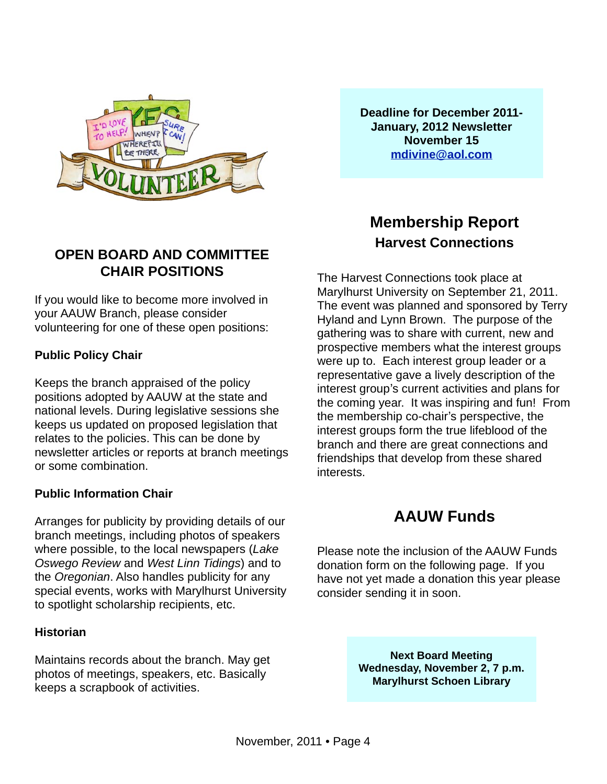

### **OPEN BOARD AND COMMITTEE CHAIR POSITIONS**

If you would like to become more involved in your AAUW Branch, please consider volunteering for one of these open positions:

#### **Public Policy Chair**

Keeps the branch appraised of the policy positions adopted by AAUW at the state and national levels. During legislative sessions she keeps us updated on proposed legislation that relates to the policies. This can be done by newsletter articles or reports at branch meetings or some combination.

#### **Public Information Chair**

Arranges for publicity by providing details of our branch meetings, including photos of speakers where possible, to the local newspapers (*Lake Oswego Review* and *West Linn Tidings*) and to the *Oregonian*. Also handles publicity for any special events, works with Marylhurst University to spotlight scholarship recipients, etc.

#### **Historian**

Maintains records about the branch. May get photos of meetings, speakers, etc. Basically keeps a scrapbook of activities.

**Deadline for December 2011- January, 2012 Newsletter November 15 [mdivine@aol.com](mailto:mdivine@aol.com)**

## **Membership Report Harvest Connections**

The Harvest Connections took place at Marylhurst University on September 21, 2011. The event was planned and sponsored by Terry Hyland and Lynn Brown. The purpose of the gathering was to share with current, new and prospective members what the interest groups were up to. Each interest group leader or a representative gave a lively description of the interest group's current activities and plans for the coming year. It was inspiring and fun! From the membership co-chair's perspective, the interest groups form the true lifeblood of the branch and there are great connections and friendships that develop from these shared interests.

## **AAUW Funds**

Please note the inclusion of the AAUW Funds donation form on the following page. If you have not yet made a donation this year please consider sending it in soon.

> **Next Board Meeting Wednesday, November 2, 7 p.m. Marylhurst Schoen Library**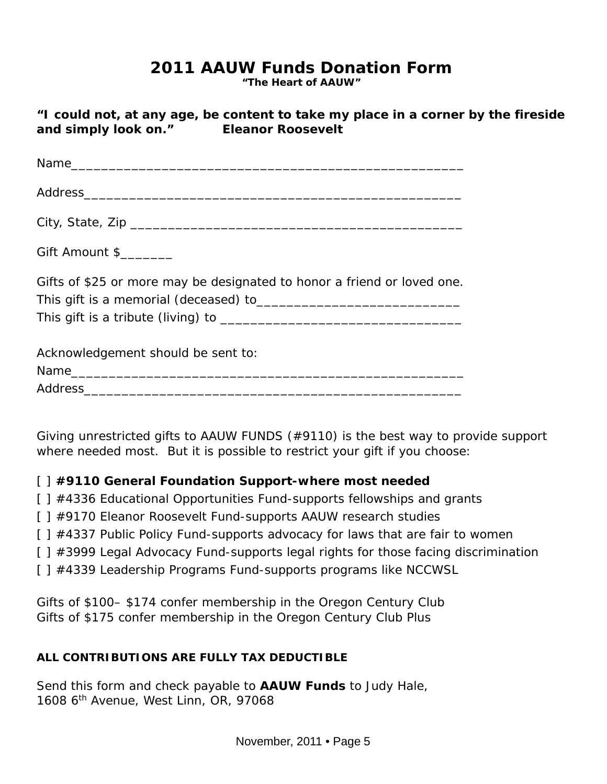## **2011 AAUW Funds Donation Form**

**"The Heart of AAUW"**

**"I could not, at any age, be content to take my place in a corner by the fireside and simply look on." Eleanor Roosevelt**

| Gift Amount \$                                                          |
|-------------------------------------------------------------------------|
| Gifts of \$25 or more may be designated to honor a friend or loved one. |
| Acknowledgement should be sent to:                                      |
|                                                                         |
| Address _______________________                                         |

Giving unrestricted gifts to AAUW FUNDS (#9110) is the best way to provide support where needed most. But it is possible to restrict your gift if you choose:

[ ] **#9110 General Foundation Support-where most needed** 

- [] #4336 Educational Opportunities Fund-supports fellowships and grants
- [] #9170 Eleanor Roosevelt Fund-supports AAUW research studies
- [] #4337 Public Policy Fund-supports advocacy for laws that are fair to women
- [] #3999 Legal Advocacy Fund-supports legal rights for those facing discrimination
- [] #4339 Leadership Programs Fund-supports programs like NCCWSL

Gifts of \$100– \$174 confer membership in the Oregon Century Club Gifts of \$175 confer membership in the Oregon Century Club Plus

#### **ALL CONTRIBUTIONS ARE FULLY TAX DEDUCTIBLE**

Send this form and check payable to **AAUW Funds** to Judy Hale, 1608 6th Avenue, West Linn, OR, 97068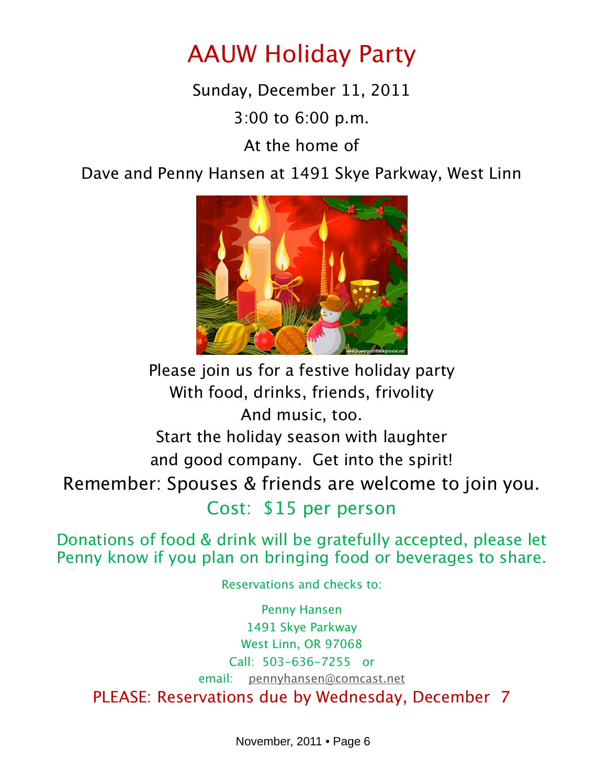# AAUW Holiday Party

Sunday, December 11, 2011

3:00 to 6:00 p.m.

At the home of

Dave and Penny Hansen at 1491 Skye Parkway, West Linn



Please join us for a festive holiday party With food, drinks, friends, frivolity And music, too. Start the holiday season with laughter and good company. Get into the spirit! Remember: Spouses & friends are welcome to join you. Cost: \$15 per person

Donations of food & drink will be gratefully accepted, please let Penny know if you plan on bringing food or beverages to share.

Reservations and checks to:

Penny Hansen 1491 Skye Parkway West Linn, OR 97068 Call: 503-636-7255 or email: [pennyhansen@comcast.net](mailto:pennyhansen@comcast.net) PLEASE: Reservations due by Wednesday, December 7

November, 2011 • Page 6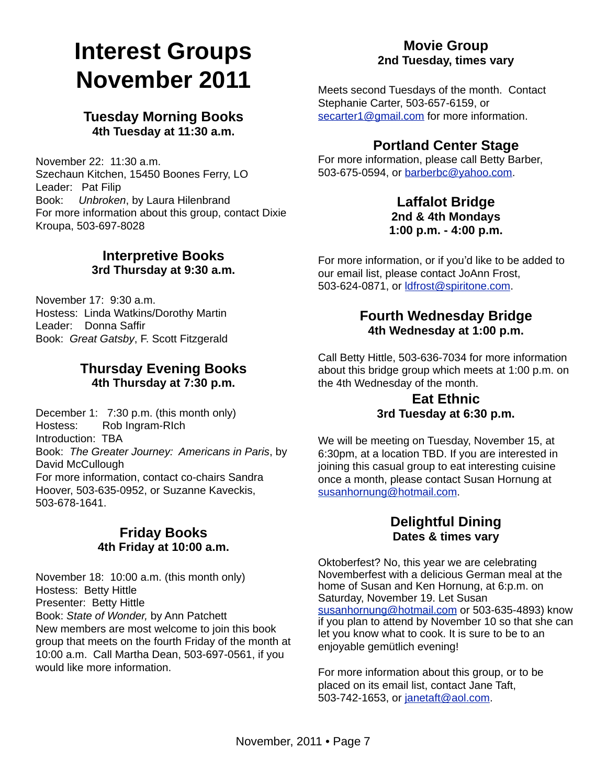# **Interest Groups November 2011**

#### **Tuesday Morning Books 4th Tuesday at 11:30 a.m.**

November 22: 11:30 a.m. Szechaun Kitchen, 15450 Boones Ferry, LO Leader: Pat Filip Book: *Unbroken*, by Laura Hilenbrand For more information about this group, contact Dixie Kroupa, 503-697-8028

#### **Interpretive Books 3rd Thursday at 9:30 a.m.**

November 17: 9:30 a.m. Hostess: Linda Watkins/Dorothy Martin Leader: Donna Saffir Book: *Great Gatsby*, F. Scott Fitzgerald

#### **Thursday Evening Books 4th Thursday at 7:30 p.m.**

December 1: 7:30 p.m. (this month only) Hostess: Rob Ingram-RIch Introduction: TBA Book: *The Greater Journey: Americans in Paris*, by David McCullough For more information, contact co-chairs Sandra Hoover, 503-635-0952, or Suzanne Kaveckis, 503-678-1641.

#### **Friday Books 4th Friday at 10:00 a.m.**

November 18: 10:00 a.m. (this month only) Hostess: Betty Hittle Presenter: Betty Hittle Book: *State of Wonder,* by Ann Patchett New members are most welcome to join this book group that meets on the fourth Friday of the month at 10:00 a.m. Call Martha Dean, 503-697-0561, if you would like more information.

#### **Movie Group 2nd Tuesday, times vary**

Meets second Tuesdays of the month. Contact Stephanie Carter, 503-657-6159, or [secarter1@gmail.com](mailto:secarter1@gmail.com) for more information.

### **Portland Center Stage**

For more information, please call Betty Barber, 503-675-0594, or [barberbc@yahoo.com.](mailto:barberbc@yahoo.com)

#### **Laffalot Bridge 2nd & 4th Mondays 1:00 p.m. - 4:00 p.m.**

For more information, or if you'd like to be added to our email list, please contact JoAnn Frost, 503-624-0871, or [ldfrost@spiritone.com.](mailto:ldfrost@spiritone.com)

#### **Fourth Wednesday Bridge 4th Wednesday at 1:00 p.m.**

Call Betty Hittle, 503-636-7034 for more information about this bridge group which meets at 1:00 p.m. on the 4th Wednesday of the month.

#### **Eat Ethnic 3rd Tuesday at 6:30 p.m.**

We will be meeting on Tuesday, November 15, at 6:30pm, at a location TBD. If you are interested in joining this casual group to eat interesting cuisine once a month, please contact Susan Hornung at [susanhornung@hotmail.com.](mailto:susanhornung@hotmail.com)

#### **Delightful Dining Dates & times vary**

Oktoberfest? No, this year we are celebrating Novemberfest with a delicious German meal at the home of Susan and Ken Hornung, at 6:p.m. on Saturday, November 19. Let Susan [susanhornung@hotmail.com](mailto:susanhornung@hotmail.com) or 503-635-4893) know if you plan to attend by November 10 so that she can let you know what to cook. It is sure to be to an enjoyable gemütlich evening!

For more information about this group, or to be placed on its email list, contact Jane Taft, 503-742-1653, or [janetaft@aol.com.](mailto:janetaft@aol.com)